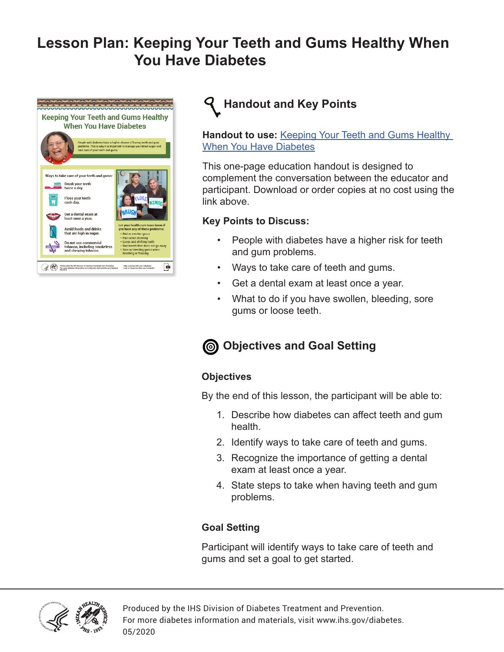# **Lesson Plan: Keeping Your Teeth and Gums Healthy When You Have Diabetes**





**Handout to use:** [Keeping Your Teeth and Gums Healthy](https://www.ihs.gov/diabetes/education-materials-and-resources/index.cfm?module=productDetails&productID=2470)  [When You Have Diabetes](https://www.ihs.gov/diabetes/education-materials-and-resources/index.cfm?module=productDetails&productID=2470)

This one-page education handout is designed to complement the conversation between the educator and participant. Download or order copies at no cost using the link above.

### **Key Points to Discuss:**

- People with diabetes have a higher risk for teeth and gum problems.
- Ways to take care of teeth and gums.
- Get a dental exam at least once a year.
- What to do if you have swollen, bleeding, sore gums or loose teeth.

# **Objectives and Goal Setting**

## **Objectives**

By the end of this lesson, the participant will be able to:

- 1. Describe how diabetes can affect teeth and gum health.
- 2. Identify ways to take care of teeth and gums.
- 3. Recognize the importance of getting a dental exam at least once a year.
- 4. State steps to take when having teeth and gum problems.

## **Goal Setting**

Participant will identify ways to take care of teeth and gums and set a goal to get started.



Produced by the IHS Division of Diabetes Treatment and Prevention. For more diabetes information and materials, visit www.ihs.gov/diabetes. 05/2020